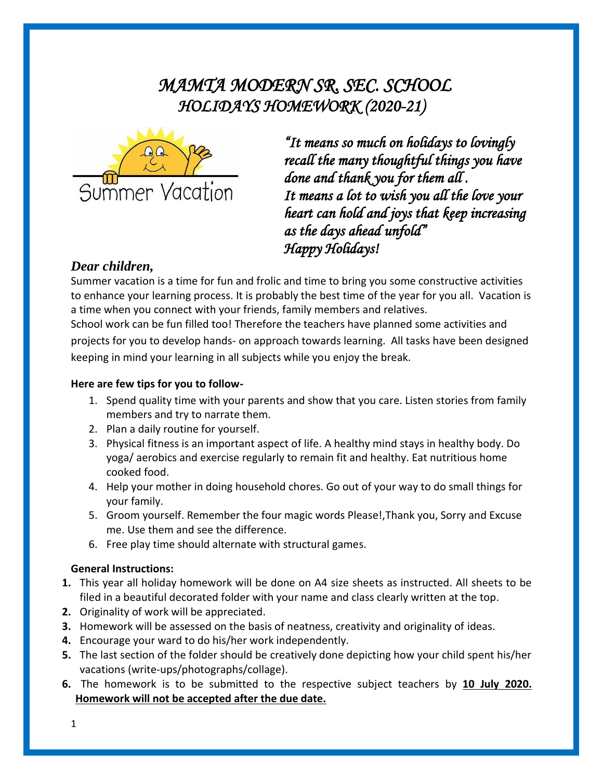# *MAMTA MODERN SR. SEC. SCHOOL HOLIDAYS HOMEWORK (2020-21)*



*"It means so much on holidays to lovingly recall the many thoughtful things you have done and thank you for them all . It means a lot to wish you all the love your heart can hold and joys that keep increasing as the days ahead unfold" Happy Holidays!* 

#### *Dear children,*

Summer vacation is a time for fun and frolic and time to bring you some constructive activities to enhance your learning process. It is probably the best time of the year for you all. Vacation is a time when you connect with your friends, family members and relatives.

School work can be fun filled too! Therefore the teachers have planned some activities and projects for you to develop hands- on approach towards learning. All tasks have been designed keeping in mind your learning in all subjects while you enjoy the break.

#### **Here are few tips for you to follow-**

- 1. Spend quality time with your parents and show that you care. Listen stories from family members and try to narrate them.
- 2. Plan a daily routine for yourself.
- 3. Physical fitness is an important aspect of life. A healthy mind stays in healthy body. Do yoga/ aerobics and exercise regularly to remain fit and healthy. Eat nutritious home cooked food.
- 4. Help your mother in doing household chores. Go out of your way to do small things for your family.
- 5. Groom yourself. Remember the four magic words Please!,Thank you, Sorry and Excuse me. Use them and see the difference.
- 6. Free play time should alternate with structural games.

#### **General Instructions:**

- **1.** This year all holiday homework will be done on A4 size sheets as instructed. All sheets to be filed in a beautiful decorated folder with your name and class clearly written at the top.
- **2.** Originality of work will be appreciated.
- **3.** Homework will be assessed on the basis of neatness, creativity and originality of ideas.
- **4.** Encourage your ward to do his/her work independently.
- **5.** The last section of the folder should be creatively done depicting how your child spent his/her vacations (write-ups/photographs/collage).
- **6.** The homework is to be submitted to the respective subject teachers by **10 July 2020. Homework will not be accepted after the due date.**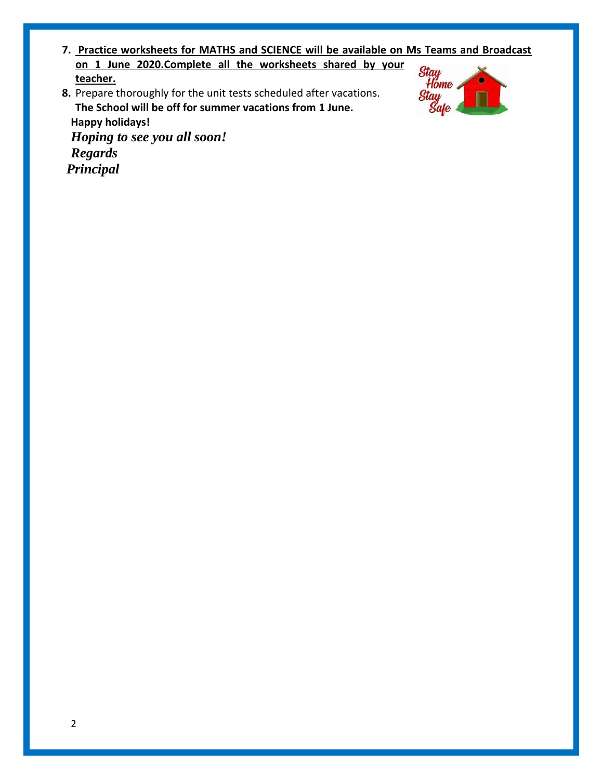- **7. Practice worksheets for MATHS and SCIENCE will be available on Ms Teams and Broadcast on 1 June 2020.Complete all the worksheets shared by your teacher.**
- **8.** Prepare thoroughly for the unit tests scheduled after vacations. **The School will be off for summer vacations from 1 June. Happy holidays!** *Hoping to see you all soon! Regards*



*Principal*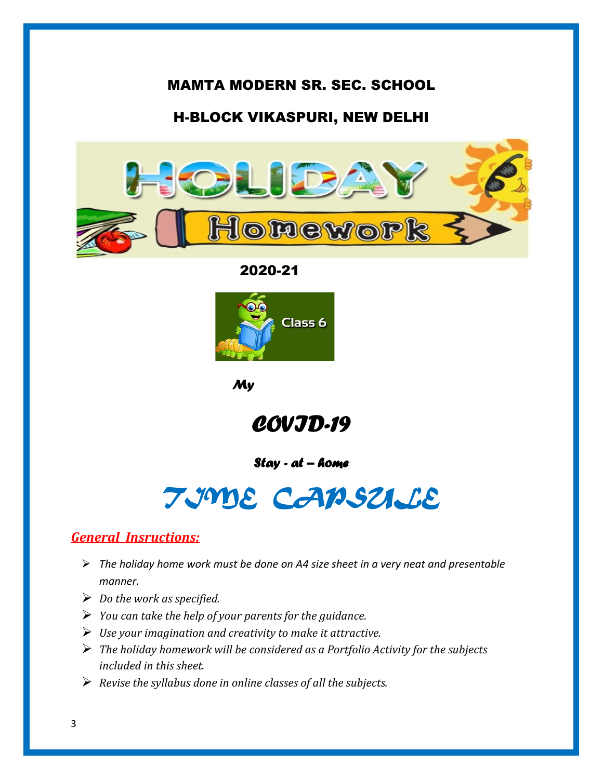## MAMTA MODERN SR. SEC. SCHOOL

## H-BLOCK VIKASPURI, NEW DELHI



2020-21



 *My* 

*COVID-19* 

#### *Stay - at – home*

# *TIME CAPSULE*

## *General Insructions:*

- ➢ *The holiday home work must be done on A4 size sheet in a very neat and presentable manner.*
- ➢ *Do the work as specified.*
- ➢ *You can take the help of your parents for the guidance.*
- ➢ *Use your imagination and creativity to make it attractive.*
- ➢ *The holiday homework will be considered as a Portfolio Activity for the subjects included in this sheet.*
- ➢ *Revise the syllabus done in online classes of all the subjects.*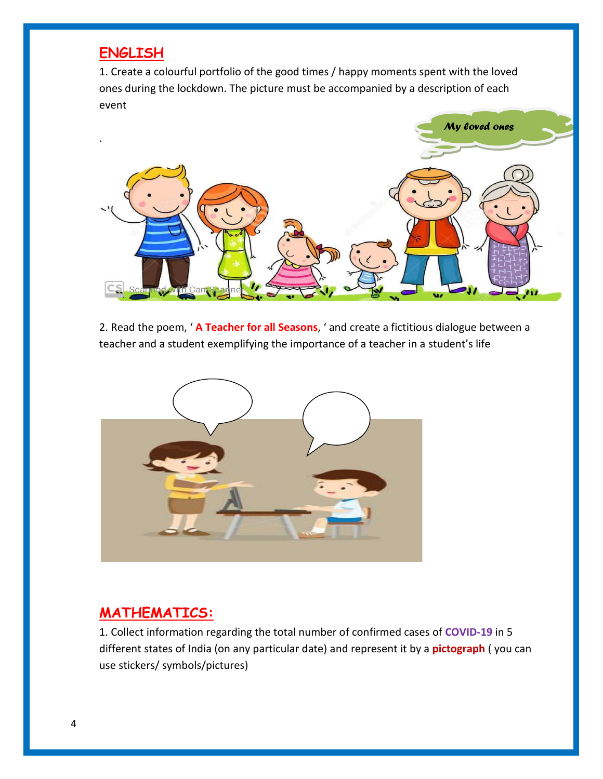## **ENGLISH**

1. Create a colourful portfolio of the good times / happy moments spent with the loved ones during the lockdown. The picture must be accompanied by a description of each event



2. Read the poem, ' **A Teacher for all Seasons**, ' and create a fictitious dialogue between a teacher and a student exemplifying the importance of a teacher in a student's life



## **MATHEMATICS:**

1. Collect information regarding the total number of confirmed cases of **COVID-19** in 5 different states of India (on any particular date) and represent it by a **pictograph** ( you can use stickers/ symbols/pictures)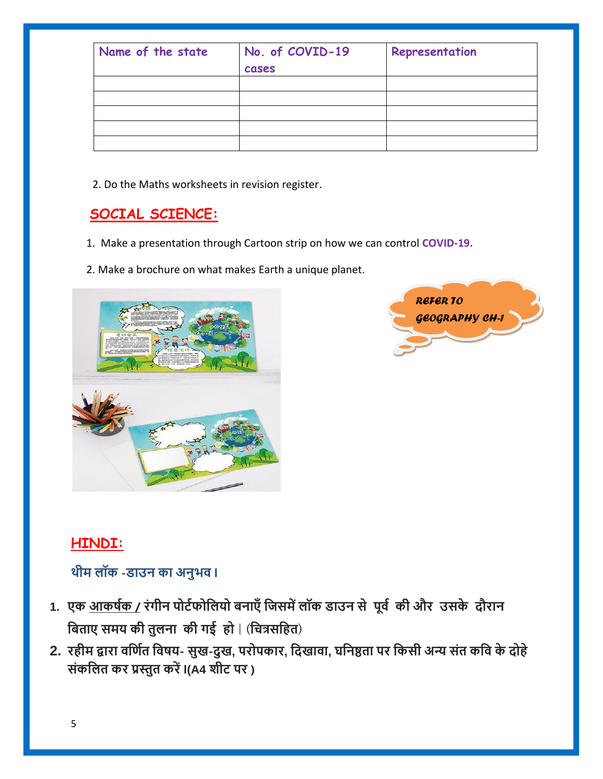| Name of the state | No. of COVID-19<br>cases | Representation |
|-------------------|--------------------------|----------------|
|                   |                          |                |
|                   |                          |                |
|                   |                          |                |
|                   |                          |                |
|                   |                          |                |

2. Do the Maths worksheets in revision register.

# **SOCIAL SCIENCE:**

- 1. Make a presentation through Cartoon strip on how we can control **COVID-19.**
- 2. Make a brochure on what makes Earth a unique planet.





# **HINDI:**

# **थीम लॉक -डाउन का अनुभव l**

- **1. एक आकर्षक / रंगीन पोर्षफोललयो बनाएँलिसमेंलॉक डाउन से पूर्व की और उसके दौरान बिताए समय की तुलना की गई हो | (बित्रसबहत)**
- 2. रहीम द्वारा वर्णित विषय- सुख-दुख, परोपकार, दिखावा, घनिष्ठता पर किसी अन्य संत कवि के दोहे **संकललत कर प्रस्तुत करेंl(A4 शीर् पर )**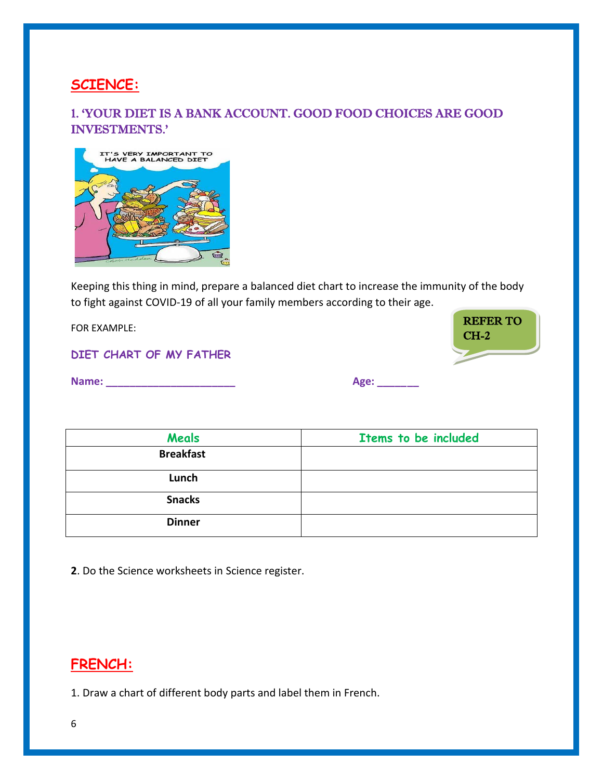## **SCIENCE:**

#### 1. 'YOUR DIET IS A BANK ACCOUNT. GOOD FOOD CHOICES ARE GOOD INVESTMENTS.'



Keeping this thing in mind, prepare a balanced diet chart to increase the immunity of the body to fight against COVID-19 of all your family members according to their age.

FOR EXAMPLE:

#### **DIET CHART OF MY FATHER**

**Name: \_\_\_\_\_\_\_\_\_\_\_\_\_\_\_\_\_\_\_\_\_\_ Age: \_\_\_\_\_\_\_** 

CH-2

REFER TO

| Meals            | Items to be included |
|------------------|----------------------|
| <b>Breakfast</b> |                      |
| Lunch            |                      |
| <b>Snacks</b>    |                      |
| <b>Dinner</b>    |                      |

**2**. Do the Science worksheets in Science register.

## **FRENCH:**

1. Draw a chart of different body parts and label them in French.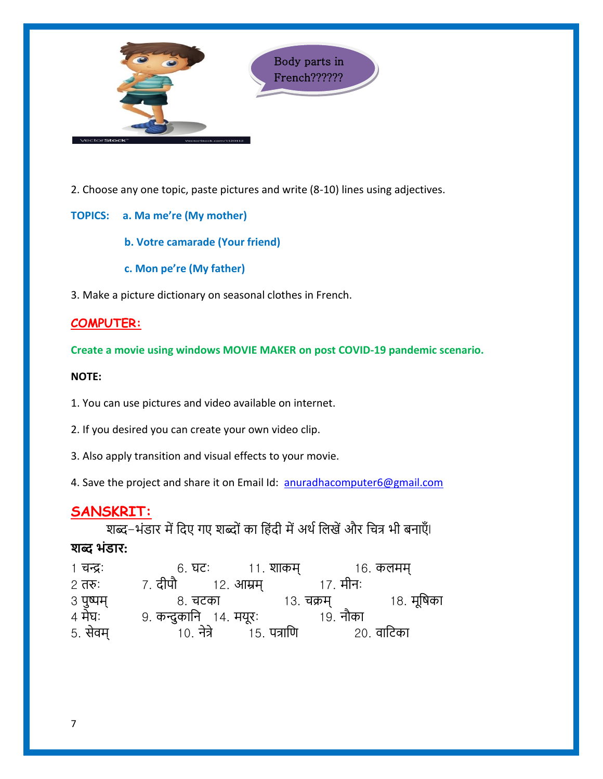

2. Choose any one topic, paste pictures and write (8-10) lines using adjectives.

**TOPICS: a. Ma me're (My mother)**

 **b. Votre camarade (Your friend)**

 **c. Mon pe're (My father)**

3. Make a picture dictionary on seasonal clothes in French.

#### **COMPUTER:**

**Create a movie using windows MOVIE MAKER on post COVID-19 pandemic scenario.**

#### **NOTE:**

1. You can use pictures and video available on internet.

2. If you desired you can create your own video clip.

3. Also apply transition and visual effects to your movie.

4. Save the project and share it on Email Id: [anuradhacomputer6@gmail.com](mailto:anuradhacomputer6@gmail.com)

## **SANSKRIT:**

शब्द-भंडार में दिए गए शब्दों का हिंदी में अर्थ लिखें और चित्र भी बनाएँ। **शब्द भंडार:**

| 1 चन्द्रः             | 6. घटः                 |           | ११. शाकम्          |            | १६. कलमम्    |
|-----------------------|------------------------|-----------|--------------------|------------|--------------|
| $2 \overline{d}$ तरुः | 7. दीपौ                | १२. आम्रम |                    | 17. मीनः   |              |
| ३ पुष्पम्<br>४ मेघः   | ८. चटका                |           |                    | १३. चक्रम् | १८. मूर्षिका |
|                       | 9. कन्दुकानि १४. मयूरः |           |                    | 19. नौका   |              |
| 5. सेवम्              | 10. नेत्रे             |           | <u>15. पत्राणि</u> |            | २०. वाटिका   |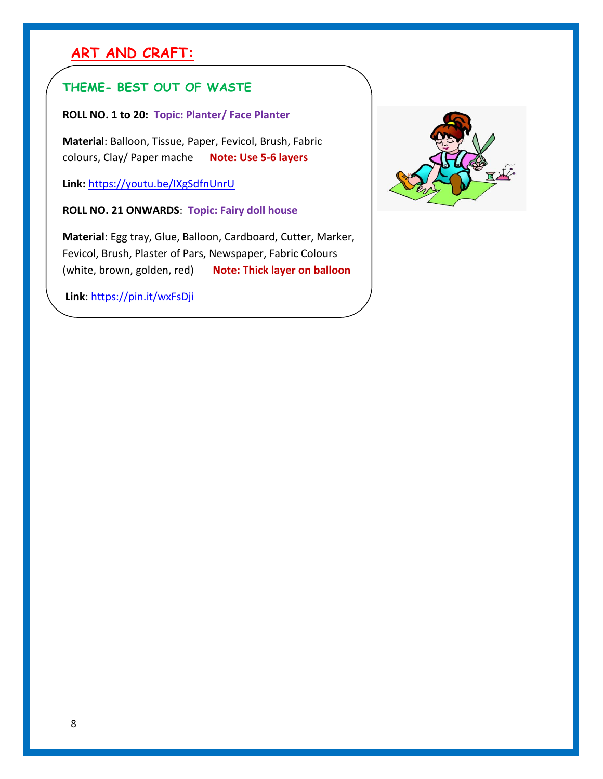# **ART AND CRAFT:**

## **THEME- BEST OUT OF WASTE**

#### **ROLL NO. 1 to 20: Topic: Planter/ Face Planter**

**Materia**l: Balloon, Tissue, Paper, Fevicol, Brush, Fabric colours, Clay/ Paper mache **Note: Use 5-6 layers**

**Link:** <https://youtu.be/IXgSdfnUnrU>

 **ROLL NO. 21 ONWARDS**: **Topic: Fairy doll house**

 **Material**: Egg tray, Glue, Balloon, Cardboard, Cutter, Marker, Fevicol, Brush, Plaster of Pars, Newspaper, Fabric Colours (white, brown, golden, red) **Note: Thick layer on balloon**

**Link**:<https://pin.it/wxFsDji>

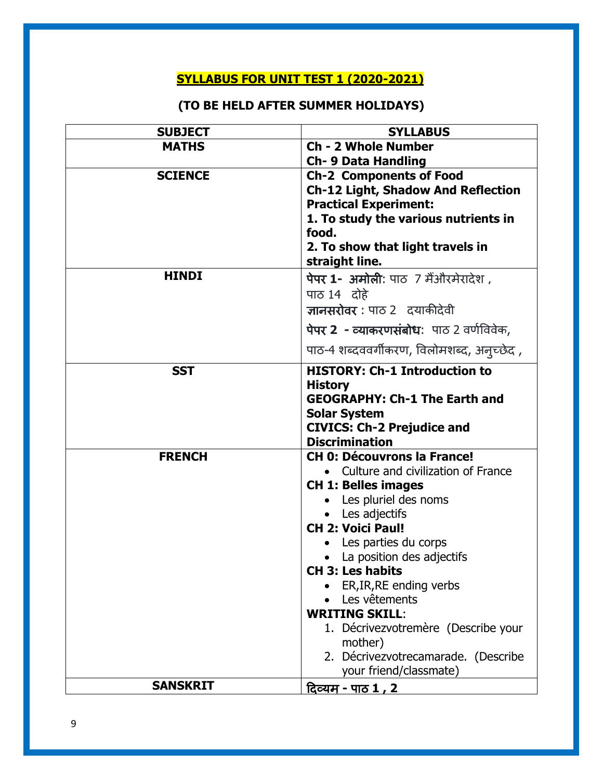# **SYLLABUS FOR UNIT TEST 1 (2020-2021)**

# **(TO BE HELD AFTER SUMMER HOLIDAYS)**

| <b>SUBJECT</b>  | <b>SYLLABUS</b>                                          |  |  |
|-----------------|----------------------------------------------------------|--|--|
| <b>MATHS</b>    | <b>Ch - 2 Whole Number</b>                               |  |  |
|                 | <b>Ch- 9 Data Handling</b>                               |  |  |
| <b>SCIENCE</b>  | <b>Ch-2 Components of Food</b>                           |  |  |
|                 | <b>Ch-12 Light, Shadow And Reflection</b>                |  |  |
|                 | <b>Practical Experiment:</b>                             |  |  |
|                 | 1. To study the various nutrients in                     |  |  |
|                 | food.                                                    |  |  |
|                 | 2. To show that light travels in                         |  |  |
|                 | straight line.                                           |  |  |
| <b>HINDI</b>    | पेपर 1- अमोली: पाठ 7 मैंऔरमेरादेश,                       |  |  |
|                 | पाठ 14 दोहे                                              |  |  |
|                 | ज्ञानसरोवर: पाठ 2 दयाकीदेवी                              |  |  |
|                 | पेपर 2 - व्याकरणसंबोध: पाठ 2 वर्णविवेक,                  |  |  |
|                 | पाठ-4 शब्दववर्गीकरण, विलोमशब्द, अन्च्छेद,                |  |  |
| <b>SST</b>      | <b>HISTORY: Ch-1 Introduction to</b>                     |  |  |
|                 | <b>History</b>                                           |  |  |
|                 | <b>GEOGRAPHY: Ch-1 The Earth and</b>                     |  |  |
|                 | <b>Solar System</b><br><b>CIVICS: Ch-2 Prejudice and</b> |  |  |
|                 |                                                          |  |  |
|                 | <b>Discrimination</b>                                    |  |  |
| <b>FRENCH</b>   | <b>CH 0: Découvrons la France!</b>                       |  |  |
|                 | • Culture and civilization of France                     |  |  |
|                 | <b>CH 1: Belles images</b>                               |  |  |
|                 | • Les pluriel des noms                                   |  |  |
|                 | • Les adjectifs                                          |  |  |
|                 | <b>CH 2: Voici Paul!</b>                                 |  |  |
|                 | • Les parties du corps                                   |  |  |
|                 | • La position des adjectifs<br><b>CH 3: Les habits</b>   |  |  |
|                 | ER, IR, RE ending verbs                                  |  |  |
|                 | Les vêtements                                            |  |  |
|                 | <b>WRITING SKILL:</b>                                    |  |  |
|                 | 1. Décrivezvotremère (Describe your                      |  |  |
|                 | mother)                                                  |  |  |
|                 | 2. Décrivezvotrecamarade. (Describe                      |  |  |
|                 | your friend/classmate)                                   |  |  |
| <b>SANSKRIT</b> | <u>दिव्यम् - पाठ 1 , 2 </u>                              |  |  |